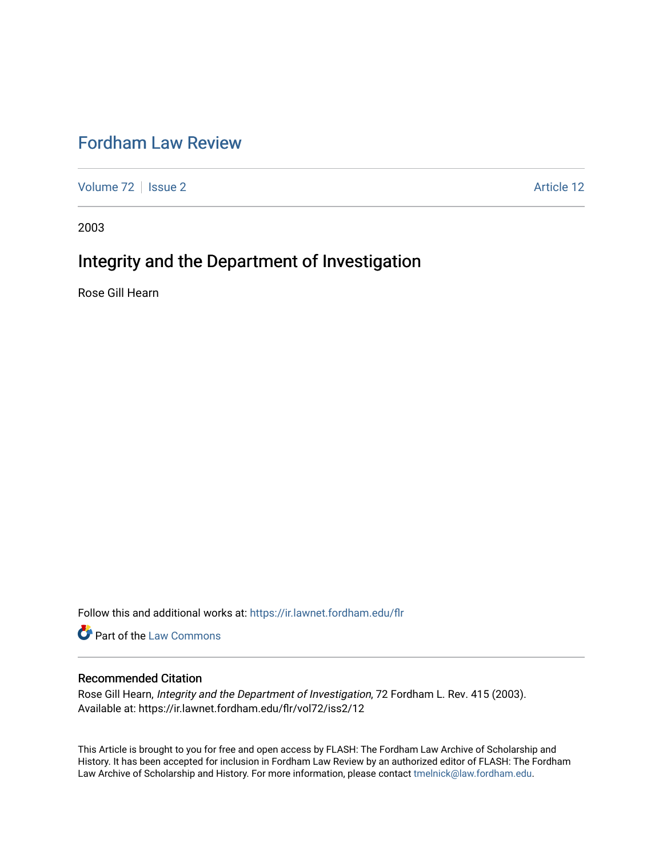# [Fordham Law Review](https://ir.lawnet.fordham.edu/flr)

[Volume 72](https://ir.lawnet.fordham.edu/flr/vol72) | [Issue 2](https://ir.lawnet.fordham.edu/flr/vol72/iss2) Article 12

2003

## Integrity and the Department of Investigation

Rose Gill Hearn

Follow this and additional works at: [https://ir.lawnet.fordham.edu/flr](https://ir.lawnet.fordham.edu/flr?utm_source=ir.lawnet.fordham.edu%2Fflr%2Fvol72%2Fiss2%2F12&utm_medium=PDF&utm_campaign=PDFCoverPages)

**Part of the [Law Commons](http://network.bepress.com/hgg/discipline/578?utm_source=ir.lawnet.fordham.edu%2Fflr%2Fvol72%2Fiss2%2F12&utm_medium=PDF&utm_campaign=PDFCoverPages)** 

### Recommended Citation

Rose Gill Hearn, Integrity and the Department of Investigation, 72 Fordham L. Rev. 415 (2003). Available at: https://ir.lawnet.fordham.edu/flr/vol72/iss2/12

This Article is brought to you for free and open access by FLASH: The Fordham Law Archive of Scholarship and History. It has been accepted for inclusion in Fordham Law Review by an authorized editor of FLASH: The Fordham Law Archive of Scholarship and History. For more information, please contact [tmelnick@law.fordham.edu](mailto:tmelnick@law.fordham.edu).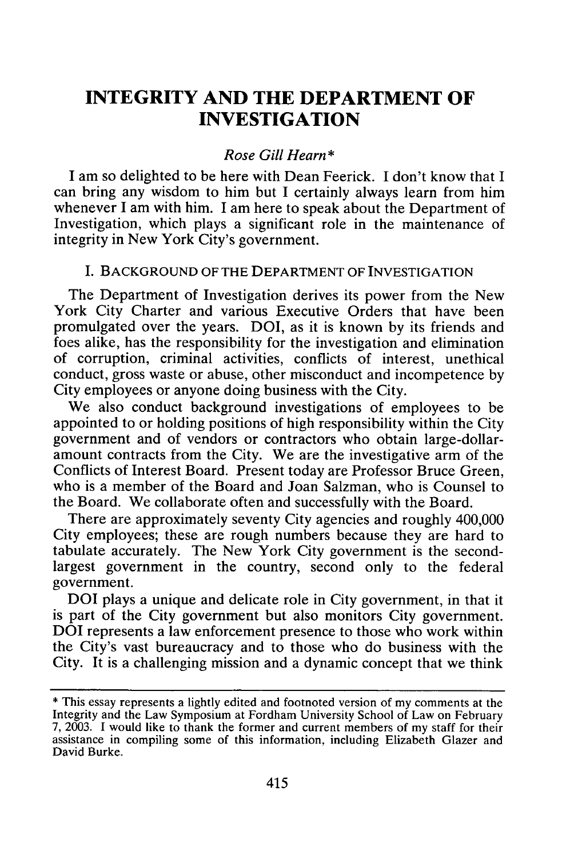### **INTEGRITY AND THE DEPARTMENT OF INVESTIGATION**

#### *Rose Gill Hearn\**

I am so delighted to be here with Dean Feerick. I don't know that I can bring any wisdom to him but I certainly always learn from him whenever I am with him. I am here to speak about the Department of Investigation, which plays a significant role in the maintenance of integrity in New York City's government.

#### **I.** BACKGROUND OF THE DEPARTMENT OF INVESTIGATION

The Department of Investigation derives its power from the New York City Charter and various Executive Orders that have been promulgated over the years. DOI, as it is known by its friends and foes alike, has the responsibility for the investigation and elimination of corruption, criminal activities, conflicts of interest, unethical conduct, gross waste or abuse, other misconduct and incompetence by City employees or anyone doing business with the City.

We also conduct background investigations of employees to be appointed to or holding positions of high responsibility within the City government and of vendors or contractors who obtain large-dollaramount contracts from the City. We are the investigative arm of the Conflicts of Interest Board. Present today are Professor Bruce Green, who is a member of the Board and Joan Salzman, who is Counsel to the Board. We collaborate often and successfully with the Board.

There are approximately seventy City agencies and roughly 400,000 City employees; these are rough numbers because they are hard to tabulate accurately. The New York City government is the secondlargest government in the country, second only to the federal government.

DOI plays a unique and delicate role in City government, in that it is part of the City government but also monitors City government. DOI represents a law enforcement presence to those who work within the City's vast bureaucracy and to those who do business with the City. It is a challenging mission and a dynamic concept that we think

<sup>\*</sup> This essay represents a lightly edited and footnoted version of my comments at the Integrity and the Law Symposium at Fordham University School of Law on February 7, 2003. I would like to thank the former and current members of my staff for their assistance in compiling some of this information, including Elizabeth Glazer and David Burke.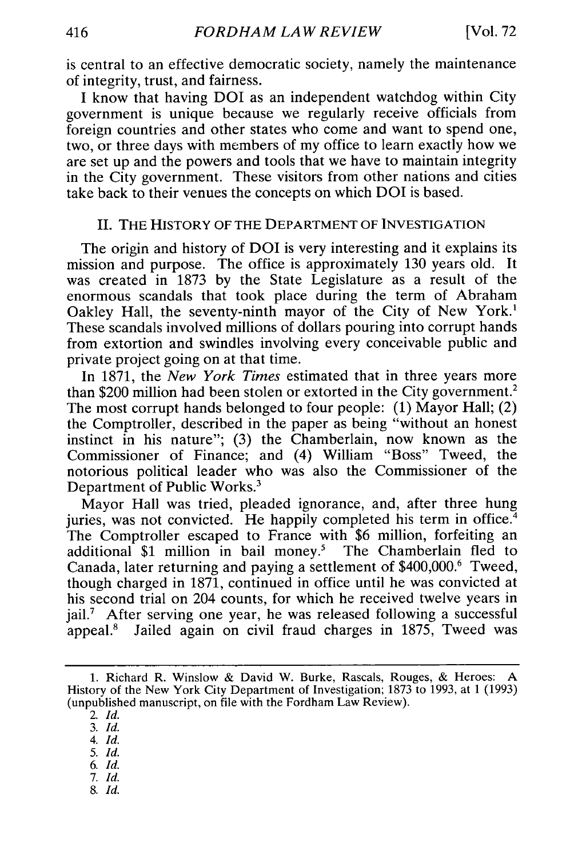is central to an effective democratic society, namely the maintenance of integrity, trust, and fairness.

I know that having DOI as an independent watchdog within City government is unique because we regularly receive officials from foreign countries and other states who come and want to spend one, two, or three days with members of my office to learn exactly how we are set up and the powers and tools that we have to maintain integrity in the City government. These visitors from other nations and cities take back to their venues the concepts on which DOI is based.

#### **II.** THE HISTORY OF THE DEPARTMENT OF **INVESTIGATION**

The origin and history of DOI is very interesting and it explains its mission and purpose. The office is approximately 130 years old. It was created in 1873 by the State Legislature as a result of the enormous scandals that took place during the term of Abraham Oakley Hall, the seventy-ninth mayor of the City of New York.' These scandals involved millions of dollars pouring into corrupt hands from extortion and swindles involving every conceivable public and private project going on at that time.

In 1871, the *New York Times* estimated that in three years more than \$200 million had been stolen or extorted in the City government.2 The most corrupt hands belonged to four people: (1) Mayor Hall; (2) the Comptroller, described in the paper as being "without an honest instinct in his nature"; (3) the Chamberlain, now known as the Commissioner of Finance; and (4) William "Boss" Tweed, the notorious political leader who was also the Commissioner of the Department of Public Works.3

Mayor Hall was tried, pleaded ignorance, and, after three hung juries, was not convicted. He happily completed his term in office.<sup>4</sup> The Comptroller escaped to France with \$6 million, forfeiting an additional \$1 million in bail money.<sup>5</sup> The Chamberlain fled to Canada, later returning and paying a settlement of \$400,000.6 Tweed, though charged in 1871, continued in office until he was convicted at his second trial on 204 counts, for which he received twelve years in jail.<sup>7</sup> After serving one year, he was released following a successful appeal.8 Jailed again on civil fraud charges in 1875, Tweed was

2. *Id.*

3. *Id.*

*4. Id.*

*5. Id.*

*6. Id.*

7. *Id.*

8. *Id.*

<sup>1.</sup> Richard R. Winslow & David W. Burke, Rascals, Rouges, & Heroes: A History of the New York City Department of Investigation; 1873 to 1993, at 1 (1993) (unpublished manuscript, on file with the Fordham Law Review).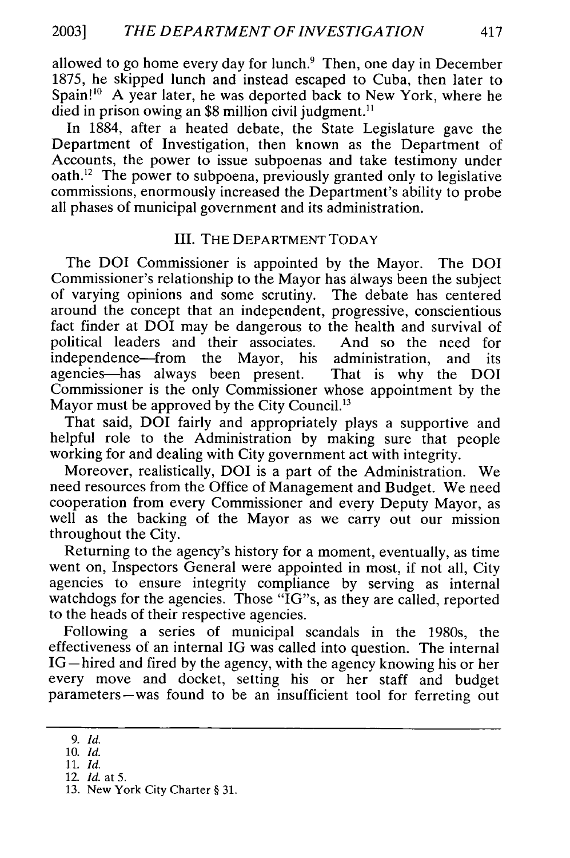allowed to go home every day for lunch.<sup>9</sup> Then, one day in December 1875, he skipped lunch and instead escaped to Cuba, then later to Spain!<sup>10</sup> A year later, he was deported back to New York, where he died in prison owing an \$8 million civil judgment.<sup>11</sup>

In 1884, after a heated debate, the State Legislature gave the Department of Investigation, then known as the Department of Accounts, the power to issue subpoenas and take testimony under oath.<sup>12</sup> The power to subpoena, previously granted only to legislative commissions, enormously increased the Department's ability to probe all phases of municipal government and its administration.

#### III. THE DEPARTMENT TODAY

The DOI Commissioner is appointed by the Mayor. The DOI Commissioner's relationship to the Mayor has always been the subject of varying opinions and some scrutiny. The debate has centered around the concept that an independent, progressive, conscientious fact finder at DOI may be dangerous to the health and survival of political leaders and their associates. And so the need for independence-from the Mayor, his administration, and its agencies-has always been present. That is why the DOI Commissioner is the only Commissioner whose appointment by the Mayor must be approved by the City Council.<sup>13</sup>

That said, DOI fairly and appropriately plays a supportive and helpful role to the Administration by making sure that people working for and dealing with City government act with integrity.

Moreover, realistically, DOI is a part of the Administration. We need resources from the Office of Management and Budget. We need cooperation from every Commissioner and every Deputy Mayor, as well as the backing of the Mayor as we carry out our mission throughout the City.

Returning to the agency's history for a moment, eventually, as time went on, Inspectors General were appointed in most, if not all, City agencies to ensure integrity compliance by serving as internal watchdogs for the agencies. Those "IG"s, as they are called, reported to the heads of their respective agencies.

Following a series of municipal scandals in the 1980s, the effectiveness of an internal IG was called into question. The internal IG—hired and fired by the agency, with the agency knowing his or her every move and docket, setting his or her staff and budget parameters-was found to be an insufficient tool for ferreting out

*<sup>9.</sup> Id.*

<sup>10.</sup> *Id.*

<sup>11.</sup> *Id.*

<sup>12.</sup> *Id.* at 5.

<sup>13.</sup> New York City Charter § 31.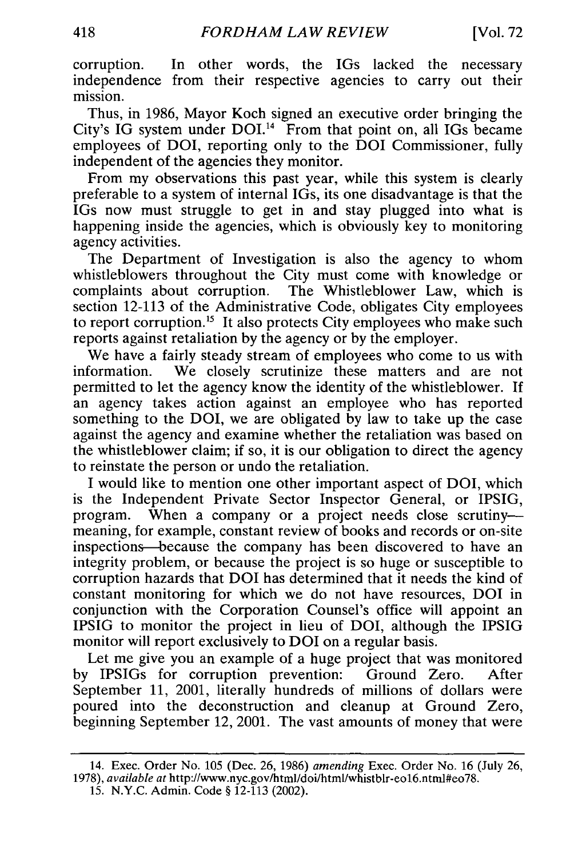corruption. In other words, the IGs lacked the necessary independence from their respective agencies to carry out their mission.

Thus, in 1986, Mayor Koch signed an executive order bringing the City's IG system under  $DOL<sup>14</sup>$  From that point on, all IGs became employees of DOI, reporting only to the DOI Commissioner, fully independent of the agencies they monitor.

From my observations this past year, while this system is clearly preferable to a system of internal IGs, its one disadvantage is that the IGs now must struggle to get in and stay plugged into what is happening inside the agencies, which is obviously key to monitoring agency activities.

The Department of Investigation is also the agency to whom whistleblowers throughout the City must come with knowledge or complaints about corruption. The Whistleblower Law, which is section 12-113 of the Administrative Code, obligates City employees to report corruption.<sup>15</sup> It also protects City employees who make such reports against retaliation by the agency or by the employer.

We have a fairly steady stream of employees who come to us with information. We closely scrutinize these matters and are not permitted to let the agency know the identity of the whistleblower. If an agency takes action against an employee who has reported something to the DOI, we are obligated by law to take up the case against the agency and examine whether the retaliation was based on the whistleblower claim; if so, it is our obligation to direct the agency to reinstate the person or undo the retaliation.

I would like to mention one other important aspect of DOI, which is the Independent Private Sector Inspector General, or IPSIG, program. When a company or a project needs close scrutinymeaning, for example, constant review of books and records or on-site inspections--because the company has been discovered to have an integrity problem, or because the project is so huge or susceptible to corruption hazards that DOI has determined that it needs the kind of constant monitoring for which we do not have resources, DOI in conjunction with the Corporation Counsel's office will appoint an IPSIG to monitor the project in lieu of DOI, although the IPSIG monitor will report exclusively to DOI on a regular basis.

Let me give you an example of a huge project that was monitored by IPSIGs for corruption prevention: Ground Zero. After September 11, 2001, literally hundreds of millions of dollars were poured into the deconstruction and cleanup at Ground Zero, beginning September 12, 2001. The vast amounts of money that were

<sup>14.</sup> Exec. Order No. 105 (Dec. 26, 1986) *amending* Exec. Order No. 16 (July 26, 1978), *available at http://www.nyc.gov/html/doi/html/whistblr-eo16.ntml#eo78.* 

<sup>15.</sup> N.Y.C. Admin. Code § 12-113 (2002).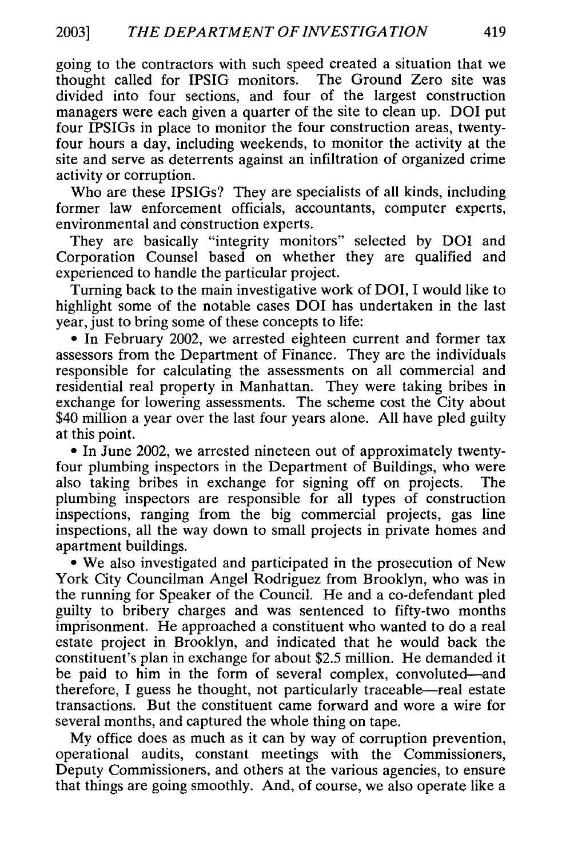going to the contractors with such speed created a situation that we thought called for IPSIG monitors. The Ground Zero site was divided into four sections, and four of the largest construction managers were each given a quarter of the site to clean up. DOI put four IPSIGs in place to monitor the four construction areas, twentyfour hours a day, including weekends, to monitor the activity at the site and serve as deterrents against an infiltration of organized crime activity or corruption.

Who are these IPSIGs? They are specialists of all kinds, including former law enforcement officials, accountants, computer experts, environmental and construction experts.

They are basically "integrity monitors" selected by DOI and Corporation Counsel based on whether they are qualified and experienced to handle the particular project.

Turning back to the main investigative work of DOI, I would like to highlight some of the notable cases DOI has undertaken in the last year, just to bring some of these concepts to life:

**9** In February 2002, we arrested eighteen current and former tax assessors from the Department of Finance. They are the individuals responsible for calculating the assessments on all commercial and residential real property in Manhattan. They were taking bribes in exchange for lowering assessments. The scheme cost the City about \$40 million a year over the last four years alone. All have pled guilty at this point.

**0** In June 2002, we arrested nineteen out of approximately twentyfour plumbing inspectors in the Department of Buildings, who were also taking bribes in exchange for signing off on projects. The plumbing inspectors are responsible for all types of construction inspections, ranging from the big commercial projects, gas line inspections, all the way down to small projects in private homes and apartment buildings.

**e** We also investigated and participated in the prosecution of New York City Councilman Angel Rodriguez from Brooklyn, who was in the running for Speaker of the Council. He and a co-defendant pled guilty to bribery charges and was sentenced to fifty-two months imprisonment. He approached a constituent who wanted to do a real estate project in Brooklyn, and indicated that he would back the constituent's plan in exchange for about \$2.5 million. He demanded it be paid to him in the form of several complex, convoluted-and therefore, I guess he thought, not particularly traceable-real estate transactions. But the constituent came forward and wore a wire for several months, and captured the whole thing on tape.

My office does as much as it can by way of corruption prevention, operational audits, constant meetings with the Commissioners, Deputy Commissioners, and others at the various agencies, to ensure that things are going smoothly. And, of course, we also operate like a